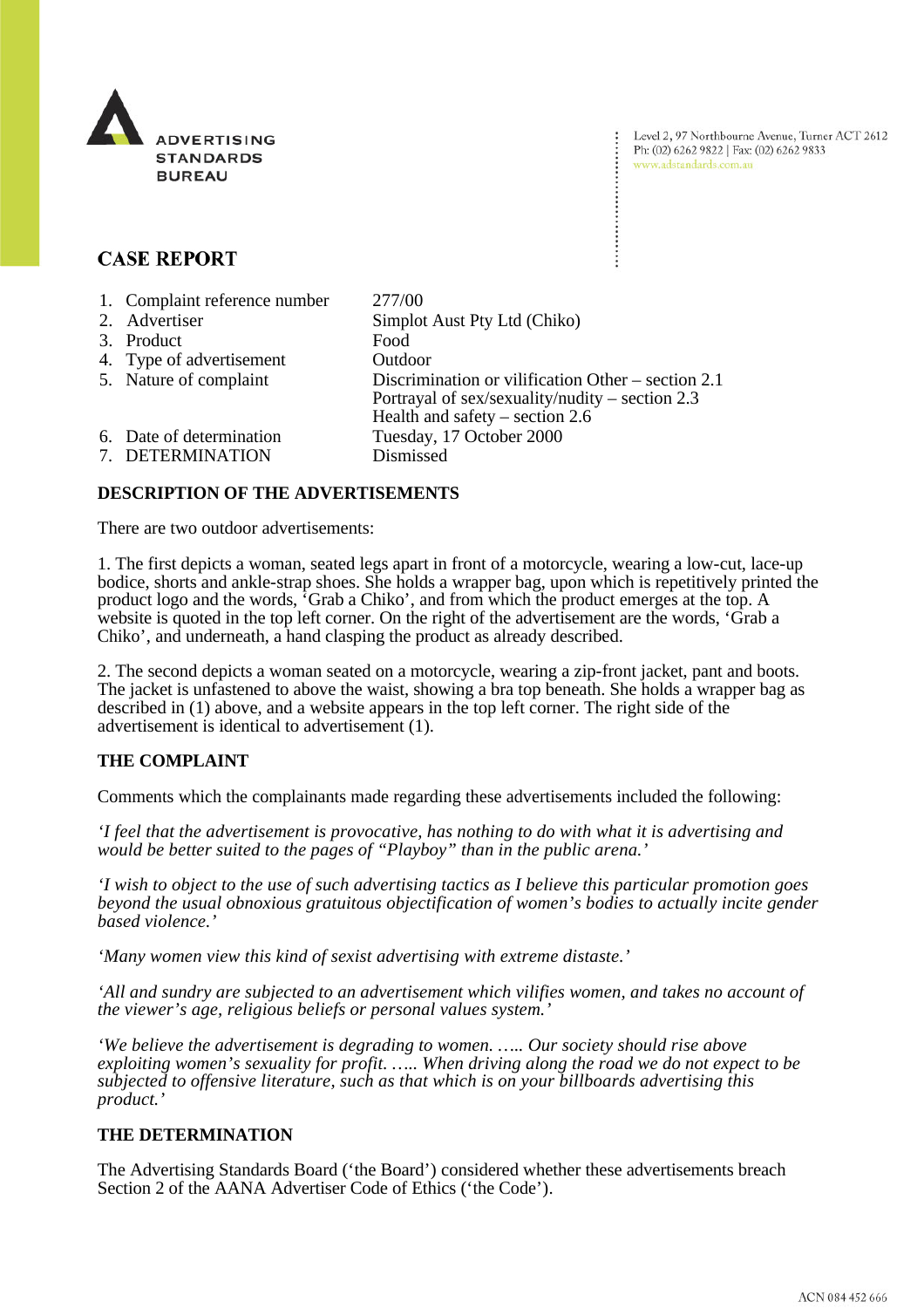

Level 2, 97 Northbourne Avenue, Turner ACT 2612 Ph: (02) 6262 9822 | Fax: (02) 6262 9833 www.adstandards.com.au

## **CASE REPORT**

| 1. Complaint reference number | 277/00                                                                                                                                       |
|-------------------------------|----------------------------------------------------------------------------------------------------------------------------------------------|
| 2. Advertiser                 | Simplot Aust Pty Ltd (Chiko)                                                                                                                 |
| 3. Product                    | Food                                                                                                                                         |
| 4. Type of advertisement      | Outdoor                                                                                                                                      |
| 5. Nature of complaint        | Discrimination or vilification Other – section 2.1<br>Portrayal of sex/sexuality/nudity – section $2.3$<br>Health and safety – section $2.6$ |
| 6. Date of determination      | Tuesday, 17 October 2000                                                                                                                     |
| 7. DETERMINATION              | Dismissed                                                                                                                                    |

## **DESCRIPTION OF THE ADVERTISEMENTS**

There are two outdoor advertisements:

1. The first depicts a woman, seated legs apart in front of a motorcycle, wearing a low-cut, lace-up bodice, shorts and ankle-strap shoes. She holds a wrapper bag, upon which is repetitively printed the product logo and the words, 'Grab a Chiko', and from which the product emerges at the top. A website is quoted in the top left corner. On the right of the advertisement are the words, 'Grab a Chiko', and underneath, a hand clasping the product as already described.

2. The second depicts a woman seated on a motorcycle, wearing a zip-front jacket, pant and boots. The jacket is unfastened to above the waist, showing a bra top beneath. She holds a wrapper bag as described in (1) above, and a website appears in the top left corner. The right side of the advertisement is identical to advertisement (1).

## **THE COMPLAINT**

Comments which the complainants made regarding these advertisements included the following:

*'I feel that the advertisement is provocative, has nothing to do with what it is advertising and would be better suited to the pages of "Playboy" than in the public arena.'*

*'I wish to object to the use of such advertising tactics as I believe this particular promotion goes beyond the usual obnoxious gratuitous objectification of women's bodies to actually incite gender based violence.'*

*'Many women view this kind of sexist advertising with extreme distaste.'*

*'All and sundry are subjected to an advertisement which vilifies women, and takes no account of the viewer's age, religious beliefs or personal values system.'*

*'We believe the advertisement is degrading to women. ….. Our society should rise above exploiting women's sexuality for profit. ….. When driving along the road we do not expect to be subjected to offensive literature, such as that which is on your billboards advertising this product.'*

## **THE DETERMINATION**

The Advertising Standards Board ('the Board') considered whether these advertisements breach Section 2 of the AANA Advertiser Code of Ethics ('the Code').